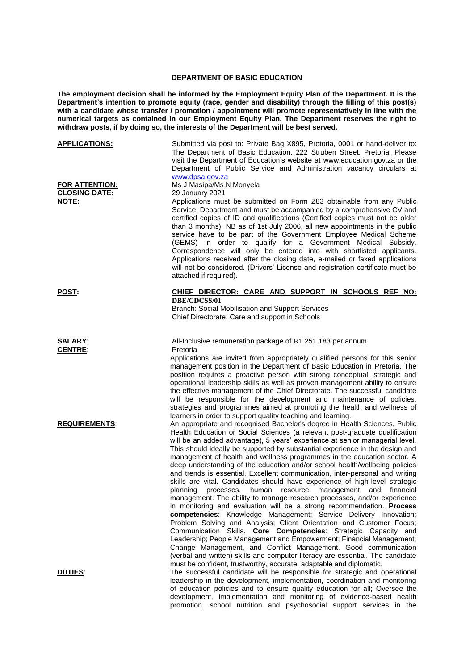## **DEPARTMENT OF BASIC EDUCATION**

**The employment decision shall be informed by the Employment Equity Plan of the Department. It is the Department's intention to promote equity (race, gender and disability) through the filling of this post(s) with a candidate whose transfer / promotion / appointment will promote representatively in line with the numerical targets as contained in our Employment Equity Plan. The Department reserves the right to withdraw posts, if by doing so, the interests of the Department will be best served.**

| <b>APPLICATIONS:</b>                                   | Submitted via post to: Private Bag X895, Pretoria, 0001 or hand-deliver to:<br>The Department of Basic Education, 222 Struben Street, Pretoria. Please<br>visit the Department of Education's website at www.education.gov.za or the<br>Department of Public Service and Administration vacancy circulars at<br>www.dpsa.gov.za                                                                                                                                                                                                                                                                                                                                                                                                                                                                                                                                                                                                                                                                                                                                                                                                                                                                                                                                                                                                                                                                           |
|--------------------------------------------------------|-----------------------------------------------------------------------------------------------------------------------------------------------------------------------------------------------------------------------------------------------------------------------------------------------------------------------------------------------------------------------------------------------------------------------------------------------------------------------------------------------------------------------------------------------------------------------------------------------------------------------------------------------------------------------------------------------------------------------------------------------------------------------------------------------------------------------------------------------------------------------------------------------------------------------------------------------------------------------------------------------------------------------------------------------------------------------------------------------------------------------------------------------------------------------------------------------------------------------------------------------------------------------------------------------------------------------------------------------------------------------------------------------------------|
| <b>FOR ATTENTION:</b><br><b>CLOSING DATE:</b><br>NOTE: | Ms J Masipa/Ms N Monyela<br>29 January 2021<br>Applications must be submitted on Form Z83 obtainable from any Public<br>Service; Department and must be accompanied by a comprehensive CV and<br>certified copies of ID and qualifications (Certified copies must not be older<br>than 3 months). NB as of 1st July 2006, all new appointments in the public<br>service have to be part of the Government Employee Medical Scheme<br>(GEMS) in order to qualify for a Government Medical Subsidy.<br>Correspondence will only be entered into with shortlisted applicants.<br>Applications received after the closing date, e-mailed or faxed applications<br>will not be considered. (Drivers' License and registration certificate must be<br>attached if required).                                                                                                                                                                                                                                                                                                                                                                                                                                                                                                                                                                                                                                    |
| <u>POST:</u>                                           | CHIEF DIRECTOR: CARE AND SUPPORT IN SCHOOLS REF NO:<br>DBE/CDCSS/01<br>Branch: Social Mobilisation and Support Services<br>Chief Directorate: Care and support in Schools                                                                                                                                                                                                                                                                                                                                                                                                                                                                                                                                                                                                                                                                                                                                                                                                                                                                                                                                                                                                                                                                                                                                                                                                                                 |
| <b>SALARY:</b><br><b>CENTRE:</b>                       | All-Inclusive remuneration package of R1 251 183 per annum<br>Pretoria<br>Applications are invited from appropriately qualified persons for this senior<br>management position in the Department of Basic Education in Pretoria. The<br>position requires a proactive person with strong conceptual, strategic and<br>operational leadership skills as well as proven management ability to ensure<br>the effective management of the Chief Directorate. The successful candidate<br>will be responsible for the development and maintenance of policies,<br>strategies and programmes aimed at promoting the health and wellness of<br>learners in order to support quality teaching and learning.                                                                                                                                                                                                                                                                                                                                                                                                                                                                                                                                                                                                                                                                                                       |
| <b>REQUIREMENTS:</b>                                   | An appropriate and recognised Bachelor's degree in Health Sciences, Public<br>Health Education or Social Sciences (a relevant post-graduate qualification<br>will be an added advantage), 5 years' experience at senior managerial level.<br>This should ideally be supported by substantial experience in the design and<br>management of health and wellness programmes in the education sector. A<br>deep understanding of the education and/or school health/wellbeing policies<br>and trends is essential. Excellent communication, inter-personal and writing<br>skills are vital. Candidates should have experience of high-level strategic<br>planning<br>human<br>and<br>financial<br>processes,<br>resource<br>management<br>management. The ability to manage research processes, and/or experience<br>in monitoring and evaluation will be a strong recommendation. Process<br>competencies: Knowledge Management; Service Delivery Innovation;<br>Problem Solving and Analysis; Client Orientation and Customer Focus;<br>Communication Skills. Core Competencies: Strategic Capacity and<br>Leadership; People Management and Empowerment; Financial Management;<br>Change Management, and Conflict Management. Good communication<br>(verbal and written) skills and computer literacy are essential. The candidate<br>must be confident, trustworthy, accurate, adaptable and diplomatic. |
| <b>DUTIES:</b>                                         | The successful candidate will be responsible for strategic and operational<br>leadership in the development, implementation, coordination and monitoring<br>of education policies and to ensure quality education for all; Oversee the<br>development, implementation and monitoring of evidence-based health<br>promotion, school nutrition and psychosocial support services in the                                                                                                                                                                                                                                                                                                                                                                                                                                                                                                                                                                                                                                                                                                                                                                                                                                                                                                                                                                                                                     |